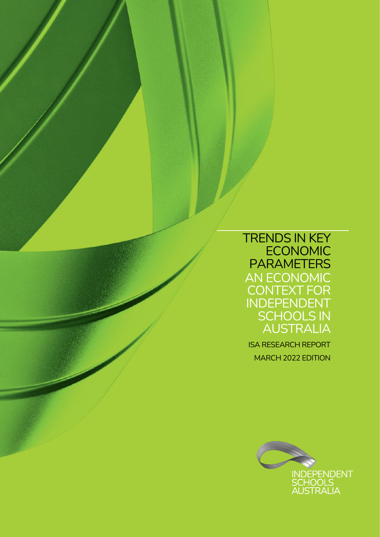### TRENDS IN KEY **ECONOMIC** PARAMETERS AN ECONOMIC CONTEXT FOR INDEPENDENT SCHOOLS IN AUSTRALIA

ISA RESEARCH REPORT MARCH 2022 EDITION

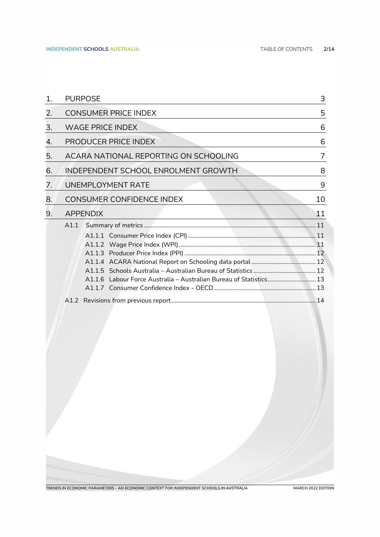| 1. |                                       | <b>PURPOSE</b>                      | 3  |  |  |  |  |  |
|----|---------------------------------------|-------------------------------------|----|--|--|--|--|--|
| 2. | <b>CONSUMER PRICE INDEX</b>           |                                     |    |  |  |  |  |  |
| 3. | <b>WAGE PRICE INDEX</b>               | 6                                   |    |  |  |  |  |  |
| 4. |                                       | <b>PRODUCER PRICE INDEX</b>         | 6  |  |  |  |  |  |
| 5. | ACARA NATIONAL REPORTING ON SCHOOLING |                                     |    |  |  |  |  |  |
| 6. |                                       | INDEPENDENT SCHOOL ENROLMENT GROWTH | 8  |  |  |  |  |  |
| 7. |                                       | <b>UNEMPLOYMENT RATE</b>            | 9  |  |  |  |  |  |
| 8. |                                       | <b>CONSUMER CONFIDENCE INDEX</b>    | 10 |  |  |  |  |  |
| 9. |                                       | <b>APPENDIX</b>                     | 11 |  |  |  |  |  |
|    | A1.1                                  |                                     |    |  |  |  |  |  |
|    |                                       |                                     |    |  |  |  |  |  |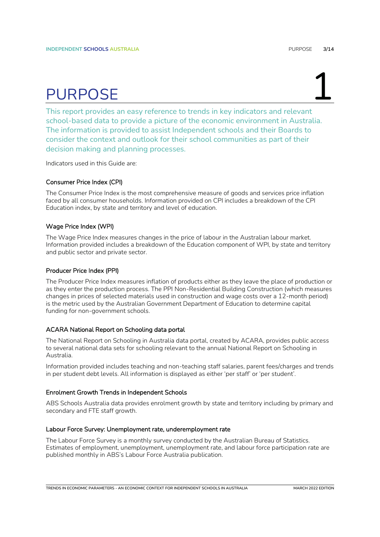# PURPOSE 1

<span id="page-2-0"></span>This report provides an easy reference to trends in key indicators and relevant school-based data to provide a picture of the economic environment in Australia. The information is provided to assist Independent schools and their Boards to consider the context and outlook for their school communities as part of their decision making and planning processes.

Indicators used in this Guide are:

### Consumer Price Index (CPI)

The Consumer Price Index is the most comprehensive measure of goods and services price inflation faced by all consumer households. Information provided on CPI includes a breakdown of the CPI Education index, by state and territory and level of education.

#### Wage Price Index (WPI)

The Wage Price Index measures changes in the price of labour in the Australian labour market. Information provided includes a breakdown of the Education component of WPI, by state and territory and public sector and private sector.

#### Producer Price Index (PPI)

The Producer Price Index measures inflation of products either as they leave the place of production or as they enter the production process. The PPI Non-Residential Building Construction (which measures changes in prices of selected materials used in construction and wage costs over a 12-month period) is the metric used by the Australian Government Department of Education to determine capital funding for non-government schools.

#### ACARA National Report on Schooling data portal

The National Report on Schooling in Australia data portal, created by ACARA, provides public access to several national data sets for schooling relevant to the annual National Report on Schooling in Australia.

Information provided includes teaching and non-teaching staff salaries, parent fees/charges and trends in per student debt levels. All information is displayed as either 'per staff' or 'per student'.

#### Enrolment Growth Trends in Independent Schools

ABS Schools Australia data provides enrolment growth by state and territory including by primary and secondary and FTE staff growth.

#### Labour Force Survey: Unemployment rate, underemployment rate

The Labour Force Survey is a monthly survey conducted by the Australian Bureau of Statistics. Estimates of employment, unemployment, unemployment rate, and labour force participation rate are published monthly in ABS's Labour Force Australia publication.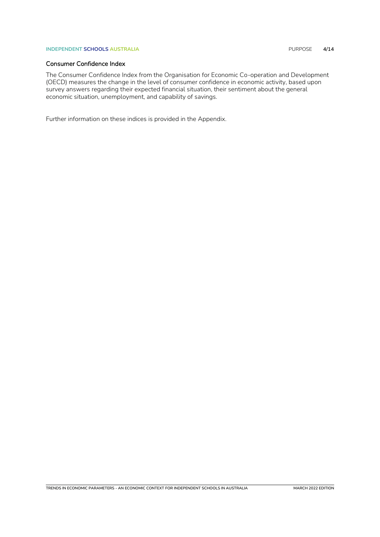#### **INDEPENDENT SCHOOLS AUSTRALIA** PURPOSE **4/14**

### Consumer Confidence Index

The Consumer Confidence Index from the Organisation for Economic Co-operation and Development (OECD) measures the change in the level of consumer confidence in economic activity, based upon survey answers regarding their expected financial situation, their sentiment about the general economic situation, unemployment, and capability of savings.

Further information on these indices is provided in the Appendix.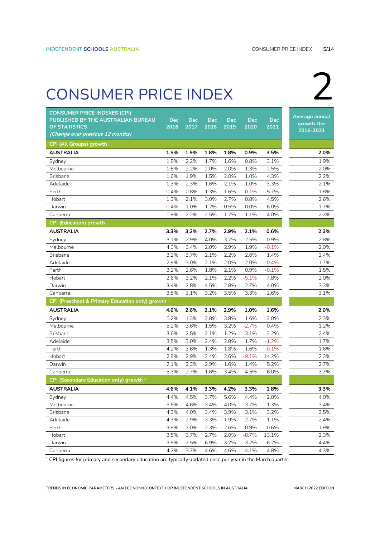## <span id="page-4-0"></span>CONSUMER PRICE INDEX 2

| <b>CONSUMER PRICE INDEXES (CPI)</b><br>PUBLISHED BY THE AUSTRALIAN BUREAU | <b>Dec</b> | <b>Dec</b> | <b>Dec</b> | <b>Dec</b> | <b>Dec</b> | <b>Dec</b> | Average annual          |
|---------------------------------------------------------------------------|------------|------------|------------|------------|------------|------------|-------------------------|
| <b>OF STATISTICS</b><br>(Change over previous 12 months)                  | 2016       | 2017       | 2018       | 2019       | 2020       | 2021       | growth Dec<br>2016-2021 |
| CPI (All Groups) growth                                                   |            |            |            |            |            |            |                         |
| <b>AUSTRALIA</b>                                                          | 1.5%       | 1.9%       | 1.8%       | 1.8%       | 0.9%       | 3.5%       | 2.0%                    |
| Sydney                                                                    | 1.8%       | 2.2%       | 1.7%       | 1.6%       | 0.8%       | 3.1%       | 1.9%                    |
| Melbourne                                                                 | 1.5%       | 2.2%       | 2.0%       | 2.0%       | 1.3%       | 2.5%       | 2.0%                    |
| <b>Brisbane</b>                                                           | 1.6%       | 1.9%       | 1.5%       | 2.0%       | 1.0%       | 4.3%       | 2.2%                    |
| Adelaide                                                                  | 1.3%       | 2.3%       | 1.6%       | 2.1%       | 1.0%       | 3.3%       | 2.1%                    |
| Perth                                                                     | 0.4%       | 0.8%       | 1.3%       | 1.6%       | $-0.1%$    | 5.7%       | 1.8%                    |
| Hobart                                                                    | 1.3%       | 2.1%       | 3.0%       | 2.7%       | 0.8%       | 4.5%       | 2.6%                    |
| Darwin                                                                    | $-0.4%$    | 1.0%       | 1.2%       | 0.5%       | 0.0%       | 6.0%       | 1.7%                    |
| Canberra                                                                  | 1.8%       | 2.2%       | 2.5%       | 1.7%       | 1.1%       | 4.0%       | 2.3%                    |
| <b>CPI (Education) growth</b>                                             |            |            |            |            |            |            |                         |
| AUSTRALIA                                                                 | 3.3%       | 3.2%       | 2.7%       | 2.9%       | 2.1%       | 0.6%       | 2.3%                    |
| Sydney                                                                    | 3.1%       | 2.9%       | 4.0%       | 3.7%       | 2.5%       | 0.9%       | 2.8%                    |
| Melbourne                                                                 | 4.0%       | 3.4%       | 2.0%       | 2.9%       | 1.9%       | $-0.1%$    | 2.0%                    |
| Brisbane                                                                  | 3.2%       | 3.7%       | 2.1%       | 2.2%       | 2.6%       | 1.4%       | 2.4%                    |
| Adelaide                                                                  | 2.8%       | 3.0%       | 2.1%       | 2.0%       | 2.0%       | $-0.4%$    | 1.7%                    |
| Perth                                                                     | 3.2%       | 2.6%       | 1.8%       | 2.1%       | 0.9%       | $-0.1%$    | 1.5%                    |
| Hobart                                                                    | 2.6%       | 3.2%       | 2.1%       | 2.2%       | $-5.1%$    | 7.8%       | 2.0%                    |
| Darwin                                                                    | 3.4%       | 2.8%       | 4.5%       | 2.8%       | 2.7%       | 4.0%       | 3.3%                    |
| Canberra                                                                  | 3.5%       | 3.1%       | 3.2%       | 3.5%       | 3.3%       | 2.6%       | 3.1%                    |
| CPI (Preschool & Primary Education only) growth <sup>1</sup>              |            |            |            |            |            |            |                         |
| <b>AUSTRALIA</b>                                                          | 4.6%       | 2.6%       | 2.1%       | 2.9%       | 1.0%       | 1.6%       | 2.0%                    |
| Sydney                                                                    | 5.2%       | 1.3%       | 2.8%       | 3.8%       | 1.6%       | $2.0\%$    | 2.3%                    |
| Melbourne                                                                 | 5.2%       | 3.6%       | 1.5%       | 3.2%       | $-2.7%$    | 0.4%       | 1.2%                    |
| <b>Brisbane</b>                                                           | 3.6%       | 2.5%       | 2.1%       | 1.2%       | 3.1%       | 3.2%       | 2.4%                    |
| Adelaide                                                                  | 3.5%       | 3.0%       | 2.4%       | 2.8%       | 1.7%       | $-1.2%$    | 1.7%                    |
| Perth                                                                     | 4.2%       | 3.6%       | 1.3%       | 1.8%       | 1.6%       | $-0.1%$    | 1.6%                    |
| Hobart                                                                    | 2.8%       | 2.9%       | 2.4%       | 2.6%       | $-9.1%$    | 14.2%      | 2.3%                    |
| Darwin                                                                    | 2.1%       | 2.3%       | 2.9%       | 1.6%       | 1.4%       | 5.2%       | 2.7%                    |
| Canberra                                                                  | 5.3%       | 2.7%       | 1.6%       | 3.4%       | 4.5%       | 6.0%       | 3.7%                    |
| CPI (Secondary Education only) growth <sup>1</sup>                        |            |            |            |            |            |            |                         |
| AUSTRALIA                                                                 | 4.6%       | 4.1%       | 3.3%       | 4.2%       | 3.3%       | 1.8%       | 3.3%                    |
| Sydney                                                                    | 4.4%       | 4.5%       | 3.7%       | 5.6%       | 4.4%       | 2.0%       | 4.0%                    |
| Melbourne                                                                 | 5.5%       | 4.6%       | 3.4%       | 4.0%       | 3.7%       | 1.3%       | 3.4%                    |
| <b>Brisbane</b>                                                           | 4.3%       | 4.0%       | 3.4%       | 3.9%       | 3.1%       | 3.2%       | 3.5%                    |
| Adelaide                                                                  | 4.3%       | 2.9%       | 3.3%       | 1.9%       | 2.7%       | 1.1%       | 2.4%                    |
| Perth                                                                     | 3.8%       | 3.0%       | 2.3%       | 2.6%       | 0.9%       | 0.6%       | 1.9%                    |
| Hobart                                                                    | 3.5%       | 3.7%       | 2.7%       | 2.0%       | $-8.7%$    | 13.1%      | 2.3%                    |
| Darwin                                                                    | 3.8%       | 2.5%       | 6.9%       | 3.2%       | 3.2%       | 6.2%       | 4.4%                    |
| Canberra                                                                  | 4.2%       | 3.7%       | 4.6%       | 4.6%       | 4.1%       | 4.8%       | 4.3%                    |

1 CPI figures for primary and secondary education are typically updated once per year in the March quarter.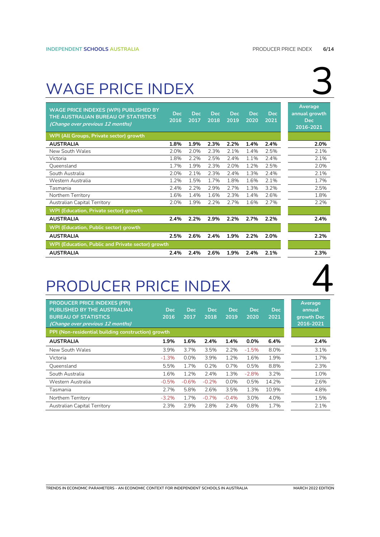## <span id="page-5-0"></span>WAGE PRICE INDEX

| <b>WAGE PRICE INDEXES (WPI) PUBLISHED BY</b><br>THE AUSTRALIAN BUREAU OF STATISTICS<br>(Change over previous 12 months) | <b>Dec</b><br>2016 | Dec.<br>2017 | Dec.<br>2018 | Dec.<br>2019 | <b>Dec</b><br>2020 | <b>Dec</b><br>2021 | Average<br>annual growth<br><b>Dec</b><br>2016-2021 |  |
|-------------------------------------------------------------------------------------------------------------------------|--------------------|--------------|--------------|--------------|--------------------|--------------------|-----------------------------------------------------|--|
| WPI (All Groups, Private sector) growth                                                                                 |                    |              |              |              |                    |                    |                                                     |  |
| <b>AUSTRALIA</b>                                                                                                        | 1.8%               | 1.9%         | 2.3%         | 2.2%         | 1.4%               | 2.4%               | 2.0%                                                |  |
| New South Wales                                                                                                         | 2.0%               | 2.0%         | 2.3%         | 2.1%         | 1.4%               | 2.5%               | 2.1%                                                |  |
| Victoria                                                                                                                | 1.8%               | 2.2%         | 2.5%         | 2.4%         | 1.1%               | 2.4%               | 2.1%                                                |  |
| Queensland                                                                                                              | 1.7%               | 1.9%         | 2.3%         | 2.0%         | 1.2%               | 2.5%               | 2.0%                                                |  |
| South Australia                                                                                                         | 2.0%               | 2.1%         | 2.3%         | 2.4%         | 1.3%               | 2.4%               | 2.1%                                                |  |
| Western Australia                                                                                                       | 1.2%               | 1.5%         | 1.7%         | 1.8%         | 1.6%               | 2.1%               | 1.7%                                                |  |
| Tasmania                                                                                                                | 2.4%               | 2.2%         | 2.9%         | 2.7%         | 1.3%               | 3.2%               | 2.5%                                                |  |
| Northern Territory                                                                                                      | 1.6%               | 1.4%         | 1.6%         | 2.3%         | 1.4%               | 2.6%               | 1.8%                                                |  |
| Australian Capital Territory                                                                                            | 2.0%               | 1.9%         | 2.2%         | 2.7%         | 1.6%               | 2.7%               | 2.2%                                                |  |
| WPI (Education, Private sector) growth                                                                                  |                    |              |              |              |                    |                    |                                                     |  |
| <b>AUSTRALIA</b>                                                                                                        | 2.4%               | 2.2%         | 2.9%         | 2.2%         | 2.7%               | 2.2%               | 2.4%                                                |  |
| WPI (Education, Public sector) growth                                                                                   |                    |              |              |              |                    |                    |                                                     |  |
| <b>AUSTRALIA</b>                                                                                                        | 2.5%               | 2.6%         | 2.4%         | 1.9%         | 2.2%               | 2.0%               | 2.2%                                                |  |
| WPI (Education, Public and Private sector) growth                                                                       |                    |              |              |              |                    |                    |                                                     |  |
| <b>AUSTRALIA</b>                                                                                                        | 2.4%               | 2.4%         | 2.6%         | 1.9%         | 2.4%               | 2.1%               | 2.3%                                                |  |

## <span id="page-5-1"></span>PRODUCER PRICE INDEX

| <b>PRODUCER PRICE INDEXES (PPI)</b><br><b>PUBLISHED BY THE AUSTRALIAN</b><br><b>BUREAU OF STATISTICS</b><br>(Change over previous 12 months) | <b>Dec</b><br>2016 | <b>Dec</b><br>2017 | <b>Dec</b><br>2018 | <b>Dec</b><br>$ 2019\rangle$ | <b>Dec</b><br>2020 | Dec.<br>2021 | Average<br>annual<br>growth Dec<br>2016-2021 |
|----------------------------------------------------------------------------------------------------------------------------------------------|--------------------|--------------------|--------------------|------------------------------|--------------------|--------------|----------------------------------------------|
| PPI (Non-residential building construction) growth                                                                                           |                    |                    |                    |                              |                    |              |                                              |
| <b>AUSTRALIA</b>                                                                                                                             | 1.9%               | 1.6%               | 2.4%               | 1.4%                         | $0.0\%$            | 6.4%         | 2.4%                                         |
| New South Wales                                                                                                                              | 3.9%               | 3.7%               | 3.5%               | 2.2%                         | $-1.5%$            | 8.0%         | 3.1%                                         |
| Victoria                                                                                                                                     | $-1.3%$            | $0.0\%$            | 3.9%               | 1.2%                         | 1.6%               | 1.9%         | 1.7%                                         |
| Queensland                                                                                                                                   | 5.5%               | 1.7%               | 0.2%               | 0.7%                         | 0.5%               | 8.8%         | 2.3%                                         |
| South Australia                                                                                                                              | 1.6%               | 1.2%               | 2.4%               | 1.3%                         | $-2.8%$            | 3.2%         | 1.0%                                         |
| Western Australia                                                                                                                            | $-0.5%$            | $-0.6%$            | $-0.2%$            | $0.0\%$                      | 0.5%               | 14.2%        | 2.6%                                         |
| Tasmania                                                                                                                                     | 2.7%               | 5.8%               | 2.6%               | 3.5%                         | 1.3%               | 10.9%        | 4.8%                                         |
| Northern Territory                                                                                                                           | $-3.2%$            | 1.7%               | $-0.7%$            | $-0.4%$                      | 3.0%               | 4.0%         | 1.5%                                         |
| Australian Capital Territory                                                                                                                 | 2.3%               | 2.9%               | 2.8%               | 2.4%                         | 0.8%               | 1.7%         | 2.1%                                         |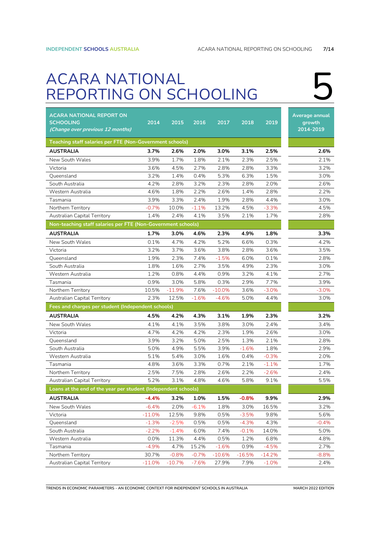## <span id="page-6-0"></span>ACARA NATIONAL ACARA NATIONAL<br>REPORTING ON SCHOOLING

| ACARA NATIONAL REPORT ON<br><b>SCHOOLING</b><br>(Change over previous 12 months) | 2014     | 2015     | 2016    | 2017     | 2018     | 2019     | Average annual<br>growth<br>2014-2019 |
|----------------------------------------------------------------------------------|----------|----------|---------|----------|----------|----------|---------------------------------------|
| Teaching staff salaries per FTE (Non-Government schools)                         |          |          |         |          |          |          |                                       |
| AUSTRALIA                                                                        | 3.7%     | 2.6%     | 2.0%    | 3.0%     | 3.1%     | 2.5%     | 2.6%                                  |
| New South Wales                                                                  | 3.9%     | 1.7%     | 1.8%    | 2.1%     | 2.3%     | 2.5%     | 2.1%                                  |
| Victoria                                                                         | 3.6%     | 4.5%     | 2.7%    | 2.8%     | 2.8%     | 3.3%     | 3.2%                                  |
| Queensland                                                                       | 3.2%     | 1.4%     | 0.4%    | 5.3%     | 6.3%     | 1.5%     | 3.0%                                  |
| South Australia                                                                  | 4.2%     | 2.8%     | 3.2%    | 2.3%     | 2.8%     | 2.0%     | 2.6%                                  |
| Western Australia                                                                | 4.6%     | 1.8%     | 2.2%    | 2.6%     | 1.4%     | 2.8%     | 2.2%                                  |
| Tasmania                                                                         | 3.9%     | 3.3%     | 2.4%    | 1.9%     | 2.8%     | 4.4%     | 3.0%                                  |
| Northern Territory                                                               | $-0.7%$  | 10.0%    | $-1.1%$ | 13.2%    | 4.5%     | $-3.3%$  | 4.5%                                  |
| Australian Capital Territory                                                     | 1.4%     | 2.4%     | 4.1%    | 3.5%     | 2.1%     | 1.7%     | 2.8%                                  |
| Non-teaching staff salaries per FTE (Non-Government schools)                     |          |          |         |          |          |          |                                       |
| <b>AUSTRALIA</b>                                                                 | 1.7%     | 3.0%     | 4.6%    | 2.3%     | 4.9%     | 1.8%     | 3.3%                                  |
| New South Wales                                                                  | 0.1%     | 4.7%     | 4.2%    | 5.2%     | 6.6%     | 0.3%     | 4.2%                                  |
| Victoria                                                                         | 3.2%     | 3.7%     | 3.6%    | 3.8%     | 2.8%     | 3.6%     | 3.5%                                  |
| Queensland                                                                       | 1.9%     | 2.3%     | 7.4%    | $-1.5%$  | 6.0%     | 0.1%     | 2.8%                                  |
| South Australia                                                                  | 1.8%     | 1.6%     | 2.7%    | 3.5%     | 4.9%     | 2.3%     | 3.0%                                  |
| Western Australia                                                                | 1.2%     | 0.8%     | 4.4%    | 0.9%     | 3.2%     | 4.1%     | 2.7%                                  |
| Tasmania                                                                         | 0.9%     | 3.0%     | 5.8%    | 0.3%     | 2.9%     | 7.7%     | 3.9%                                  |
| Northern Territory                                                               | 10.5%    | $-11.9%$ | 7.6%    | $-10.0%$ | 3.6%     | $-3.0%$  | $-3.0%$                               |
| Australian Capital Territory                                                     | 2.3%     | 12.5%    | $-1.6%$ | $-4.6%$  | 5.0%     | 4.4%     | 3.0%                                  |
| Fees and charges per student (Independent schools)                               |          |          |         |          |          |          |                                       |
| AUSTRALIA                                                                        | 4.5%     | 4.2%     | 4.3%    | 3.1%     | 1.9%     | 2.3%     | 3.2%                                  |
| New South Wales                                                                  | 4.1%     | 4.1%     | 3.5%    | 3.8%     | 3.0%     | 2.4%     | 3.4%                                  |
| Victoria                                                                         | 4.7%     | 4.2%     | 4.2%    | 2.3%     | 1.9%     | 2.6%     | 3.0%                                  |
| Queensland                                                                       | 3.9%     | 3.2%     | 5.0%    | 2.5%     | 1.3%     | 2.1%     | 2.8%                                  |
| South Australia                                                                  | 5.0%     | 4.9%     | 5.5%    | 3.9%     | $-1.6%$  | 1.8%     | 2.9%                                  |
| Western Australia                                                                | 5.1%     | 5.4%     | 3.0%    | 1.6%     | 0.4%     | $-0.3%$  | 2.0%                                  |
| Tasmania                                                                         | 4.8%     | 3.6%     | 3.3%    | 0.7%     | 2.1%     | $-1.1%$  | 1.7%                                  |
| Northern Territory                                                               | 2.5%     | 7.5%     | 2.8%    | 2.6%     | 2.2%     | $-2.6%$  | 2.4%                                  |
| Australian Capital Territory                                                     | 5.2%     | 3.1%     | 4.8%    | 4.6%     | 5.8%     | 9.1%     | 5.5%                                  |
| Loans at the end of the year per student (Independent schools)                   |          |          |         |          |          |          |                                       |
| AUSTRALIA                                                                        | $-4.4%$  | 3.2%     | 1.0%    | 1.5%     | $-0.8%$  | 9.9%     | 2.9%                                  |
| New South Wales                                                                  | $-6.4%$  | 2.0%     | $-6.1%$ | 1.8%     | 3.0%     | 16.5%    | 3.2%                                  |
| Victoria                                                                         | $-11.0%$ | 12.5%    | 9.8%    | 0.5%     | $-3.5%$  | 9.8%     | 5.6%                                  |
| Queensland                                                                       | $-1.3%$  | $-2.5%$  | 0.5%    | 0.5%     | $-4.3%$  | 4.3%     | $-0.4%$                               |
| South Australia                                                                  | $-2.2%$  | $-1.4%$  | 6.0%    | 7.4%     | $-0.1%$  | 14.0%    | 5.0%                                  |
| Western Australia                                                                | 0.0%     | 11.3%    | 4.4%    | 0.5%     | 1.2%     | 6.8%     | 4.8%                                  |
| Tasmania                                                                         | -4.9%    | 4.7%     | 15.2%   | $-1.6%$  | 0.9%     | -4.5%    | 2.7%                                  |
| Northern Territory                                                               | 30.7%    | $-0.8%$  | $-0.7%$ | $-10.6%$ | $-16.5%$ | $-14.2%$ | $-8.8%$                               |
| Australian Capital Territory                                                     | $-11.0%$ | $-10.7%$ | $-7.6%$ | 27.9%    | 7.9%     | $-1.0\%$ | 2.4%                                  |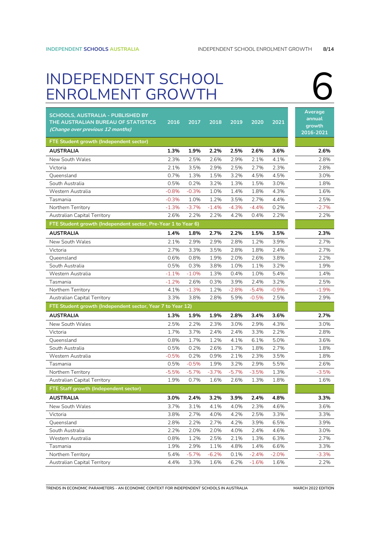# <span id="page-7-0"></span>INDEPENDENT SCHOOL<br>ENROLMENT GROWTH

| <b>SCHOOLS, AUSTRALIA - PUBLISHED BY</b><br>THE AUSTRALIAN BUREAU OF STATISTICS<br>(Change over previous 12 months) | 2016    | 2017    | 2018    | 2019    | 2020    | 2021     | Average<br>annual<br>growth<br>2016-2021 |
|---------------------------------------------------------------------------------------------------------------------|---------|---------|---------|---------|---------|----------|------------------------------------------|
| FTE Student growth (Independent sector)                                                                             |         |         |         |         |         |          |                                          |
| <b>AUSTRALIA</b>                                                                                                    | 1.3%    | 1.9%    | 2.2%    | 2.5%    | 2.6%    | 3.6%     | 2.6%                                     |
| New South Wales                                                                                                     | 2.3%    | 2.5%    | 2.6%    | 2.9%    | 2.1%    | 4.1%     | 2.8%                                     |
| Victoria                                                                                                            | 2.1%    | 3.5%    | 2.9%    | 2.5%    | 2.7%    | 2.3%     | 2.8%                                     |
| Oueensland                                                                                                          | 0.7%    | 1.3%    | 1.5%    | 3.2%    | 4.5%    | 4.5%     | 3.0%                                     |
| South Australia                                                                                                     | 0.5%    | 0.2%    | 3.2%    | 1.3%    | 1.5%    | 3.0%     | 1.8%                                     |
| Western Australia                                                                                                   | $-0.8%$ | $-0.3%$ | 1.0%    | 1.4%    | 1.8%    | 4.3%     | 1.6%                                     |
| Tasmania                                                                                                            | $-0.3%$ | 1.0%    | 1.2%    | 3.5%    | 2.7%    | 4.4%     | 2.5%                                     |
| Northern Territory                                                                                                  | $-1.3%$ | $-3.7%$ | $-1.4%$ | $-4.3%$ | $-4.4%$ | 0.2%     | $-2.7%$                                  |
| Australian Capital Territory                                                                                        | 2.6%    | 2.2%    | 2.2%    | 4.2%    | 0.4%    | 2.2%     | 2.2%                                     |
| FTE Student growth (Independent sector, Pre-Year 1 to Year 6)                                                       |         |         |         |         |         |          |                                          |
| <b>AUSTRALIA</b>                                                                                                    | 1.4%    | 1.8%    | 2.7%    | 2.2%    | 1.5%    | 3.5%     | 2.3%                                     |
| New South Wales                                                                                                     | 2.1%    | 2.9%    | 2.9%    | 2.8%    | 1.2%    | 3.9%     | 2.7%                                     |
| Victoria                                                                                                            | 2.7%    | 3.3%    | 3.5%    | 2.8%    | 1.8%    | 2.4%     | 2.7%                                     |
| Queensland                                                                                                          | 0.6%    | 0.8%    | 1.9%    | 2.0%    | 2.6%    | 3.8%     | 2.2%                                     |
| South Australia                                                                                                     | 0.5%    | 0.3%    | 3.8%    | 1.0%    | 1.1%    | 3.2%     | 1.9%                                     |
| Western Australia                                                                                                   | $-1.1%$ | $-1.0%$ | 1.3%    | 0.4%    | 1.0%    | 5.4%     | 1.4%                                     |
| Tasmania                                                                                                            | $-1.2%$ | 2.6%    | 0.3%    | 3.9%    | 2.4%    | 3.2%     | 2.5%                                     |
| Northern Territory                                                                                                  | 4.1%    | $-1.3%$ | 1.2%    | $-2.8%$ | $-5.4%$ | $-0.9%$  | $-1.9%$                                  |
| Australian Capital Territory                                                                                        | 3.3%    | 3.8%    | 2.8%    | 5.9%    | $-0.5%$ | 2.5%     | 2.9%                                     |
| FTE Student growth (Independent sector, Year 7 to Year 12)                                                          |         |         |         |         |         |          |                                          |
| <b>AUSTRALIA</b>                                                                                                    | 1.3%    | 1.9%    | 1.9%    | 2.8%    | 3.4%    | 3.6%     | 2.7%                                     |
| New South Wales                                                                                                     | 2.5%    | 2.2%    | 2.3%    | 3.0%    | 2.9%    | 4.3%     | 3.0%                                     |
| Victoria                                                                                                            | 1.7%    | 3.7%    | 2.4%    | 2.4%    | 3.3%    | 2.2%     | 2.8%                                     |
| Queensland                                                                                                          | 0.8%    | 1.7%    | 1.2%    | 4.1%    | 6.1%    | 5.0%     | 3.6%                                     |
| South Australia                                                                                                     | 0.5%    | 0.2%    | 2.6%    | 1.7%    | 1.8%    | 2.7%     | 1.8%                                     |
| Western Australia                                                                                                   | $-0.5%$ | 0.2%    | 0.9%    | 2.1%    | 2.3%    | 3.5%     | 1.8%                                     |
| Tasmania                                                                                                            | 0.5%    | $-0.5%$ | 1.9%    | 3.2%    | 2.9%    | 5.5%     | 2.6%                                     |
| Northern Territory                                                                                                  | $-5.5%$ | $-5.7%$ | $-3.7%$ | $-5.7%$ | $-3.5%$ | 1.3%     | $-3.5%$                                  |
| Australian Capital Territory                                                                                        | 1.9%    | 0.7%    | 1.6%    | 2.6%    | 1.3%    | 1.8%     | 1.6%                                     |
| <b>FTE Staff growth (Independent sector)</b>                                                                        |         |         |         |         |         |          |                                          |
| AUSTRALIA                                                                                                           | 3.0%    | 2.4%    | 3.2%    | 3.9%    | 2.4%    | 4.8%     | 3.3%                                     |
| New South Wales                                                                                                     | 3.7%    | 3.1%    | 4.1%    | 4.0%    | 2.3%    | 4.6%     | 3.6%                                     |
| Victoria                                                                                                            | 3.8%    | 2.7%    | 4.0%    | 4.2%    | 2.5%    | 3.3%     | 3.3%                                     |
| Queensland                                                                                                          | 2.8%    | 2.2%    | 2.7%    | 4.2%    | 3.9%    | 6.5%     | 3.9%                                     |
| South Australia                                                                                                     | 2.2%    | 2.0%    | 2.0%    | 4.0%    | 2.4%    | 4.6%     | 3.0%                                     |
| Western Australia                                                                                                   | 0.8%    | 1.2%    | 2.5%    | 2.1%    | 1.3%    | 6.3%     | 2.7%                                     |
| Tasmania                                                                                                            | 1.9%    | 2.9%    | 1.1%    | 4.8%    | 1.4%    | 6.6%     | 3.3%                                     |
| Northern Territory                                                                                                  | 5.4%    | $-5.7%$ | $-6.2%$ | 0.1%    | $-2.4%$ | $-2.0\%$ | $-3.3%$                                  |
| Australian Capital Territory                                                                                        | 4.4%    | 3.3%    | 1.6%    | 6.2%    | $-1.6%$ | 1.6%     | 2.2%                                     |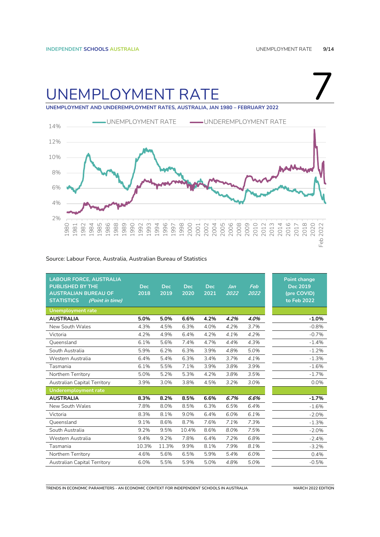7

## <span id="page-8-0"></span>UNEMPLOYMENT RATE

**UNEMPLOYMENT AND UNDEREMPLOYMENT RATES, AUSTRALIA, JAN 1980 – FEBRUARY 2022**



#### Source: Labour Force, Australia, Australian Bureau of Statistics

| <b>LABOUR FORCE, AUSTRALIA</b><br><b>PUBLISHED BY THE</b><br><b>AUSTRALIAN BUREAU OF</b><br><b>STATISTICS</b><br>(Point in time) | <b>Dec</b><br>2018 | <b>Dec</b><br>2019 | <b>Dec</b><br>2020 | <b>Dec</b><br>2021 | Jan<br>2022 | Feb<br>2022 | <b>Point change</b><br><b>Dec 2019</b><br>(pre COVID)<br>to Feb 2022 |
|----------------------------------------------------------------------------------------------------------------------------------|--------------------|--------------------|--------------------|--------------------|-------------|-------------|----------------------------------------------------------------------|
| <b>Unemployment rate</b>                                                                                                         |                    |                    |                    |                    |             |             |                                                                      |
| <b>AUSTRALIA</b>                                                                                                                 | 5.0%               | 5.0%               | 6.6%               | 4.2%               | 4.2%        | 4.0%        | $-1.0%$                                                              |
| New South Wales                                                                                                                  | 4.3%               | 4.5%               | 6.3%               | 4.0%               | 4.2%        | 3.7%        | $-0.8%$                                                              |
| Victoria                                                                                                                         | 4.2%               | 4.9%               | 6.4%               | 4.2%               | 4.1%        | 4.2%        | $-0.7%$                                                              |
| Queensland                                                                                                                       | 6.1%               | 5.6%               | 7.4%               | 4.7%               | 4.4%        | 4.3%        | $-1.4%$                                                              |
| South Australia                                                                                                                  | 5.9%               | 6.2%               | 6.3%               | 3.9%               | 4.8%        | 5.0%        | $-1.2%$                                                              |
| Western Australia                                                                                                                | 6.4%               | 5.4%               | 6.3%               | 3.4%               | 3.7%        | 4.1%        | $-1.3%$                                                              |
| Tasmania                                                                                                                         | 6.1%               | 5.5%               | 7.1%               | 3.9%               | 3.8%        | 3.9%        | $-1.6%$                                                              |
| Northern Territory                                                                                                               | 5.0%               | 5.2%               | 5.3%               | 4.2%               | 3.8%        | 3.5%        | $-1.7%$                                                              |
| Australian Capital Territory                                                                                                     | 3.9%               | 3.0%               | 3.8%               | 4.5%               | 3.2%        | 3.0%        | 0.0%                                                                 |
| <b>Underemployment rate</b>                                                                                                      |                    |                    |                    |                    |             |             |                                                                      |
| <b>AUSTRALIA</b>                                                                                                                 | 8.3%               | 8.2%               | 8.5%               | 6.6%               | 6.7%        | 6.6%        | $-1.7%$                                                              |
| New South Wales                                                                                                                  | 7.8%               | 8.0%               | 8.5%               | 6.3%               | 6.5%        | 6.4%        | $-1.6%$                                                              |
| Victoria                                                                                                                         | 8.3%               | 8.1%               | 9.0%               | 6.4%               | 6.0%        | 6.1%        | $-2.0%$                                                              |
| Queensland                                                                                                                       | 9.1%               | 8.6%               | 8.7%               | 7.6%               | 7.1%        | 7.3%        | $-1.3%$                                                              |
| South Australia                                                                                                                  | 9.2%               | 9.5%               | 10.4%              | 8.6%               | 8.0%        | 7.5%        | $-2.0%$                                                              |
| Western Australia                                                                                                                | 9.4%               | 9.2%               | 7.8%               | 6.4%               | 7.2%        | 6.8%        | $-2.4%$                                                              |
| Tasmania                                                                                                                         | 10.3%              | 11.3%              | 9.9%               | 8.1%               | 7.9%        | 8.1%        | $-3.2%$                                                              |
| Northern Territory                                                                                                               | 4.6%               | 5.6%               | 6.5%               | 5.9%               | 5.4%        | 6.0%        | 0.4%                                                                 |
| Australian Capital Territory                                                                                                     | 6.0%               | 5.5%               | 5.9%               | 5.0%               | 4.8%        | 5.0%        | $-0.5%$                                                              |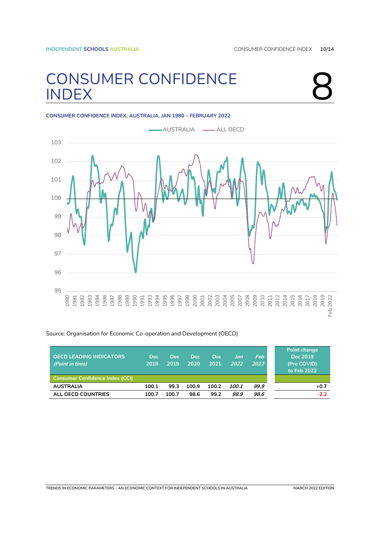# <span id="page-9-0"></span>CONSUMER CONFIDENCE<br>
INDEX



#### **CONSUMER CONFIDENCE INDEX, AUSTRALIA, JAN 1980 – FEBRUARY 2022**



#### Source: Organisation for Economic Co-operation and Development (OECD)

| <b>OECD LEADING INDICATORS</b><br>(Point in time) | <b>Dec</b><br>2018 | <b>Dec</b><br>2019 | <b>Dec</b><br>2020 | <b>Dec</b><br>2021 | Jan<br>2022 | Feb<br>2022 | Point change<br>Dec 2019<br>(Pre COVID)<br>to Feb 2022 |
|---------------------------------------------------|--------------------|--------------------|--------------------|--------------------|-------------|-------------|--------------------------------------------------------|
| <b>Consumer Confidence Index (CCI)</b>            |                    |                    |                    |                    |             |             |                                                        |
| <b>AUSTRALIA</b>                                  | 100.1              | 99.3               | 100.9              | 100.2              | 100.1       | 99.9        | $+0.7$                                                 |
| ALL OECD COUNTRIES                                | 100.7              | 100.7              | 98.6               | 99.2               | 98.9        | 98.6        | $-2.2$                                                 |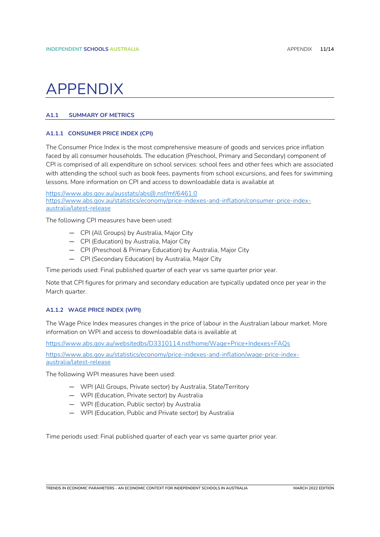## <span id="page-10-0"></span>**APPENDIX**

### <span id="page-10-1"></span>**A1.1 SUMMARY OF METRICS**

### <span id="page-10-2"></span>**A1.1.1 CONSUMER PRICE INDEX (CPI)**

The Consumer Price Index is the most comprehensive measure of goods and services price inflation faced by all consumer households. The education (Preschool, Primary and Secondary) component of CPI is comprised of all expenditure on school services: school fees and other fees which are associated with attending the school such as book fees, payments from school excursions, and fees for swimming lessons. More information on CPI and access to downloadable data is available at

<https://www.abs.gov.au/ausstats/abs@.nsf/mf/6461.0> [https://www.abs.gov.au/statistics/economy/price-indexes-and-inflation/consumer-price-index](https://www.abs.gov.au/statistics/economy/price-indexes-and-inflation/consumer-price-index-australia/latest-release)[australia/latest-release](https://www.abs.gov.au/statistics/economy/price-indexes-and-inflation/consumer-price-index-australia/latest-release)

The following CPI measures have been used:

- CPI (All Groups) by Australia, Major City
- CPI (Education) by Australia, Major City
- CPI (Preschool & Primary Education) by Australia, Major City
- CPI (Secondary Education) by Australia, Major City

Time periods used: Final published quarter of each year vs same quarter prior year.

Note that CPI figures for primary and secondary education are typically updated once per year in the March quarter.

#### <span id="page-10-3"></span>**A1.1.2 WAGE PRICE INDEX (WPI)**

The Wage Price Index measures changes in the price of labour in the Australian labour market. More information on WPI and access to downloadable data is available at

<https://www.abs.gov.au/websitedbs/D3310114.nsf/home/Wage+Price+Indexes+FAQs>

[https://www.abs.gov.au/statistics/economy/price-indexes-and-inflation/wage-price-index](https://www.abs.gov.au/statistics/economy/price-indexes-and-inflation/wage-price-index-australia/latest-release)[australia/latest-release](https://www.abs.gov.au/statistics/economy/price-indexes-and-inflation/wage-price-index-australia/latest-release)

The following WPI measures have been used:

- WPI (All Groups, Private sector) by Australia, State/Territory
- WPI (Education, Private sector) by Australia
- WPI (Education, Public sector) by Australia
- WPI (Education, Public and Private sector) by Australia

Time periods used: Final published quarter of each year vs same quarter prior year.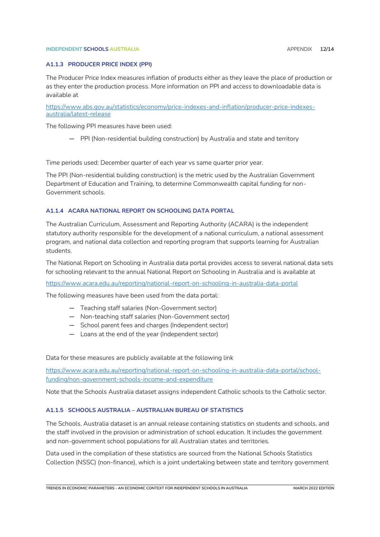#### **INDEPENDENT SCHOOLS AUSTRALIA** AND **ALCOHOLY APPENDIX 12/14**

#### <span id="page-11-0"></span>**A1.1.3 PRODUCER PRICE INDEX (PPI)**

The Producer Price Index measures inflation of products either as they leave the place of production or as they enter the production process. More information on PPI and access to downloadable data is available at

[https://www.abs.gov.au/statistics/economy/price-indexes-and-inflation/producer-price-indexes](https://www.abs.gov.au/statistics/economy/price-indexes-and-inflation/producer-price-indexes-australia/latest-release)[australia/latest-release](https://www.abs.gov.au/statistics/economy/price-indexes-and-inflation/producer-price-indexes-australia/latest-release)

The following PPI measures have been used:

— PPI (Non-residential building construction) by Australia and state and territory

Time periods used: December quarter of each year vs same quarter prior year.

The PPI (Non-residential building construction) is the metric used by the Australian Government Department of Education and Training, to determine Commonwealth capital funding for non-Government schools.

#### <span id="page-11-1"></span>**A1.1.4 ACARA NATIONAL REPORT ON SCHOOLING DATA PORTAL**

The Australian Curriculum, Assessment and Reporting Authority (ACARA) is the independent statutory authority responsible for the development of a national curriculum, a national assessment program, and national data collection and reporting program that supports learning for Australian students.

The National Report on Schooling in Australia data portal provides access to several national data sets for schooling relevant to the annual National Report on Schooling in Australia and is available at

<https://www.acara.edu.au/reporting/national-report-on-schooling-in-australia-data-portal>

The following measures have been used from the data portal:

- Teaching staff salaries (Non-Government sector)
- Non-teaching staff salaries (Non-Government sector)
- School parent fees and charges (Independent sector)
- Loans at the end of the year (Independent sector)

Data for these measures are publicly available at the following link

[https://www.acara.edu.au/reporting/national-report-on-schooling-in-australia-data-portal/school](https://www.acara.edu.au/reporting/national-report-on-schooling-in-australia-data-portal/school-funding/non-government-schools-income-and-expenditure)[funding/non-government-schools-income-and-expenditure](https://www.acara.edu.au/reporting/national-report-on-schooling-in-australia-data-portal/school-funding/non-government-schools-income-and-expenditure)

Note that the Schools Australia dataset assigns independent Catholic schools to the Catholic sector.

#### <span id="page-11-2"></span>**A1.1.5 SCHOOLS AUSTRALIA – AUSTRALIAN BUREAU OF STATISTICS**

The Schools, Australia dataset is an annual release containing statistics on students and schools, and the staff involved in the provision or administration of school education. It includes the government and non-government school populations for all Australian states and territories.

Data used in the compilation of these statistics are sourced from the National Schools Statistics Collection (NSSC) (non-finance), which is a joint undertaking between state and territory government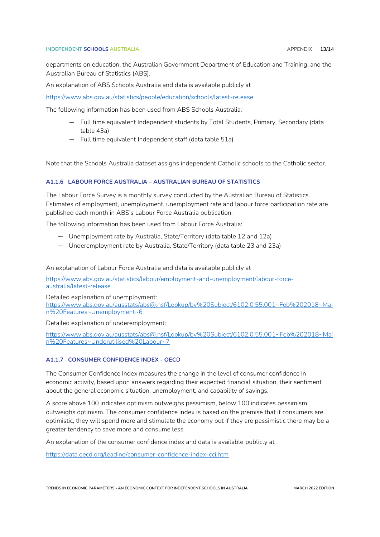#### **INDEPENDENT SCHOOLS AUSTRALIA APPENDIX <b>13/14**

departments on education, the Australian Government Department of Education and Training, and the Australian Bureau of Statistics (ABS).

An explanation of ABS Schools Australia and data is available publicly at

<https://www.abs.gov.au/statistics/people/education/schools/latest-release>

The following information has been used from ABS Schools Australia:

- Full time equivalent Independent students by Total Students, Primary, Secondary (data table 43a)
- Full time equivalent Independent staff (data table 51a)

Note that the Schools Australia dataset assigns independent Catholic schools to the Catholic sector.

#### <span id="page-12-0"></span>**A1.1.6 LABOUR FORCE AUSTRALIA – AUSTRALIAN BUREAU OF STATISTICS**

The Labour Force Survey is a monthly survey conducted by the Australian Bureau of Statistics. Estimates of employment, unemployment, unemployment rate and labour force participation rate are published each month in ABS's Labour Force Australia publication.

The following information has been used from Labour Force Australia:

- Unemployment rate by Australia, State/Territory (data table 12 and 12a)
- Underemployment rate by Australia, State/Territory (data table 23 and 23a)

An explanation of Labour Force Australia and data is available publicly at

[https://www.abs.gov.au/statistics/labour/employment-and-unemployment/labour-force](https://www.abs.gov.au/statistics/labour/employment-and-unemployment/labour-force-australia/latest-release)[australia/latest-release](https://www.abs.gov.au/statistics/labour/employment-and-unemployment/labour-force-australia/latest-release)

Detailed explanation of unemployment:

[https://www.abs.gov.au/ausstats/abs@.nsf/Lookup/by%20Subject/6102.0.55.001~Feb%202018~Mai](https://www.abs.gov.au/ausstats/abs@.nsf/Lookup/by%20Subject/6102.0.55.001~Feb%202018~Main%20Features~Unemployment~6) [n%20Features~Unemployment~6](https://www.abs.gov.au/ausstats/abs@.nsf/Lookup/by%20Subject/6102.0.55.001~Feb%202018~Main%20Features~Unemployment~6)

Detailed explanation of underemployment:

[https://www.abs.gov.au/ausstats/abs@.nsf/Lookup/by%20Subject/6102.0.55.001~Feb%202018~Mai](https://www.abs.gov.au/ausstats/abs@.nsf/Lookup/by%20Subject/6102.0.55.001~Feb%202018~Main%20Features~Underutilised%20Labour~7) [n%20Features~Underutilised%20Labour~7](https://www.abs.gov.au/ausstats/abs@.nsf/Lookup/by%20Subject/6102.0.55.001~Feb%202018~Main%20Features~Underutilised%20Labour~7)

#### <span id="page-12-1"></span>**A1.1.7 CONSUMER CONFIDENCE INDEX - OECD**

The Consumer Confidence Index measures the change in the level of consumer confidence in economic activity, based upon answers regarding their expected financial situation, their sentiment about the general economic situation, unemployment, and capability of savings.

A score above 100 indicates optimism outweighs pessimism, below 100 indicates pessimism outweighs optimism. The consumer confidence index is based on the premise that if consumers are optimistic, they will spend more and stimulate the economy but if they are pessimistic there may be a greater tendency to save more and consume less.

An explanation of the consumer confidence index and data is available publicly at

<https://data.oecd.org/leadind/consumer-confidence-index-cci.htm>